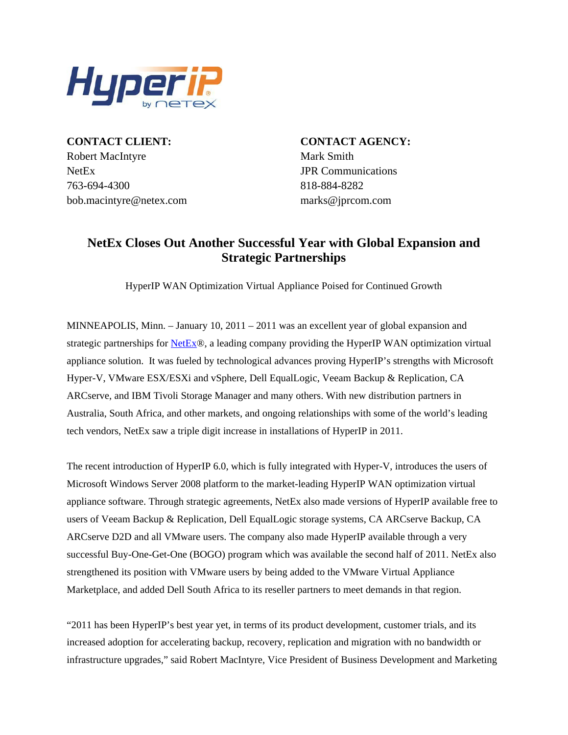

**CONTACT CLIENT: CONTACT AGENCY:** Robert MacIntyre Mark Smith NetEx JPR Communications 763-694-4300 818-884-8282 bob.macintyre@netex.com marks@jprcom.com

## **NetEx Closes Out Another Successful Year with Global Expansion and Strategic Partnerships**

HyperIP WAN Optimization Virtual Appliance Poised for Continued Growth

MINNEAPOLIS, Minn. – January 10, 2011 – 2011 was an excellent year of global expansion and strategic partnerships for [NetEx](http://www.netex.com/)®, a leading company providing the HyperIP WAN optimization virtual appliance solution. It was fueled by technological advances proving HyperIP's strengths with Microsoft Hyper-V, VMware ESX/ESXi and vSphere, Dell EqualLogic, Veeam Backup & Replication, CA ARCserve, and IBM Tivoli Storage Manager and many others. With new distribution partners in Australia, South Africa, and other markets, and ongoing relationships with some of the world's leading tech vendors, NetEx saw a triple digit increase in installations of HyperIP in 2011.

The recent introduction of HyperIP 6.0, which is fully integrated with Hyper-V, introduces the users of Microsoft Windows Server 2008 platform to the market-leading HyperIP WAN optimization virtual appliance software. Through strategic agreements, NetEx also made versions of HyperIP available free to users of Veeam Backup & Replication, Dell EqualLogic storage systems, CA ARCserve Backup, CA ARCserve D2D and all VMware users. The company also made HyperIP available through a very successful Buy-One-Get-One (BOGO) program which was available the second half of 2011. NetEx also strengthened its position with VMware users by being added to the VMware Virtual Appliance Marketplace, and added Dell South Africa to its reseller partners to meet demands in that region.

"2011 has been HyperIP's best year yet, in terms of its product development, customer trials, and its increased adoption for accelerating backup, recovery, replication and migration with no bandwidth or infrastructure upgrades," said Robert MacIntyre, Vice President of Business Development and Marketing